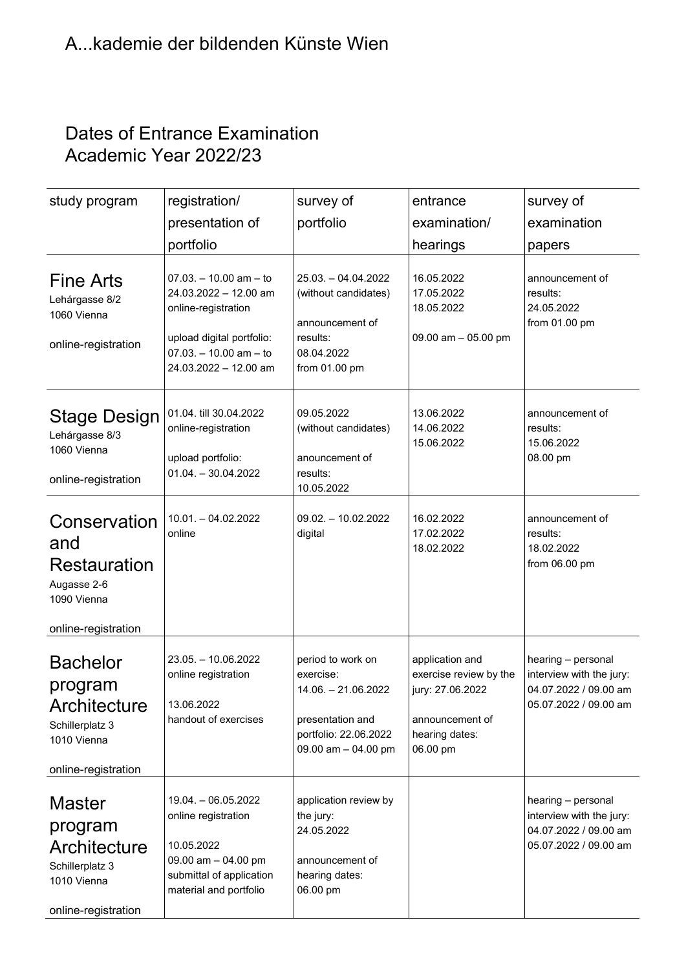## Dates of Entrance Examination Academic Year 2022/23

| study program                                                                                              | registration/                                                                                                                                                | survey of                                                                                                                   | entrance                                                                                                       | survey of                                                                                        |
|------------------------------------------------------------------------------------------------------------|--------------------------------------------------------------------------------------------------------------------------------------------------------------|-----------------------------------------------------------------------------------------------------------------------------|----------------------------------------------------------------------------------------------------------------|--------------------------------------------------------------------------------------------------|
|                                                                                                            | presentation of                                                                                                                                              | portfolio                                                                                                                   | examination/                                                                                                   | examination                                                                                      |
|                                                                                                            | portfolio                                                                                                                                                    |                                                                                                                             | hearings                                                                                                       | papers                                                                                           |
| <b>Fine Arts</b><br>Lehárgasse 8/2<br>1060 Vienna<br>online-registration                                   | $07.03. - 10.00$ am $-$ to<br>24.03.2022 - 12.00 am<br>online-registration<br>upload digital portfolio:<br>$07.03. - 10.00$ am - to<br>24.03.2022 - 12.00 am | 25.03. - 04.04.2022<br>(without candidates)<br>announcement of<br>results:<br>08.04.2022<br>from 01.00 pm                   | 16.05.2022<br>17.05.2022<br>18.05.2022<br>09.00 am $-$ 05.00 pm                                                | announcement of<br>results:<br>24.05.2022<br>from 01.00 pm                                       |
| <b>Stage Design</b><br>Lehárgasse 8/3<br>1060 Vienna<br>online-registration                                | 01.04. till 30.04.2022<br>online-registration<br>upload portfolio:<br>$01.04. - 30.04.2022$                                                                  | 09.05.2022<br>(without candidates)<br>anouncement of<br>results:<br>10.05.2022                                              | 13.06.2022<br>14.06.2022<br>15.06.2022                                                                         | announcement of<br>results:<br>15.06.2022<br>08.00 pm                                            |
| Conservation<br>and<br><b>Restauration</b><br>Augasse 2-6<br>1090 Vienna<br>online-registration            | $10.01. - 04.02.2022$<br>online                                                                                                                              | $09.02. - 10.02.2022$<br>digital                                                                                            | 16.02.2022<br>17.02.2022<br>18.02.2022                                                                         | announcement of<br>results:<br>18.02.2022<br>from 06.00 pm                                       |
| <b>Bachelor</b><br>program<br><b>Architecture</b><br>Schillerplatz 3<br>1010 Vienna<br>online-registration | 23.05. - 10.06.2022<br>online registration<br>13.06.2022<br>handout of exercises                                                                             | period to work on<br>exercise:<br>14.06. - 21.06.2022<br>presentation and<br>portfolio: 22.06.2022<br>09.00 am $-$ 04.00 pm | application and<br>exercise review by the<br>jury: 27.06.2022<br>announcement of<br>hearing dates:<br>06.00 pm | hearing - personal<br>interview with the jury:<br>04.07.2022 / 09.00 am<br>05.07.2022 / 09.00 am |
| Master<br>program<br><b>Architecture</b><br>Schillerplatz 3<br>1010 Vienna<br>online-registration          | 19.04. - 06.05.2022<br>online registration<br>10.05.2022<br>09.00 am $-$ 04.00 pm<br>submittal of application<br>material and portfolio                      | application review by<br>the jury:<br>24.05.2022<br>announcement of<br>hearing dates:<br>06.00 pm                           |                                                                                                                | hearing - personal<br>interview with the jury:<br>04.07.2022 / 09.00 am<br>05.07.2022 / 09.00 am |